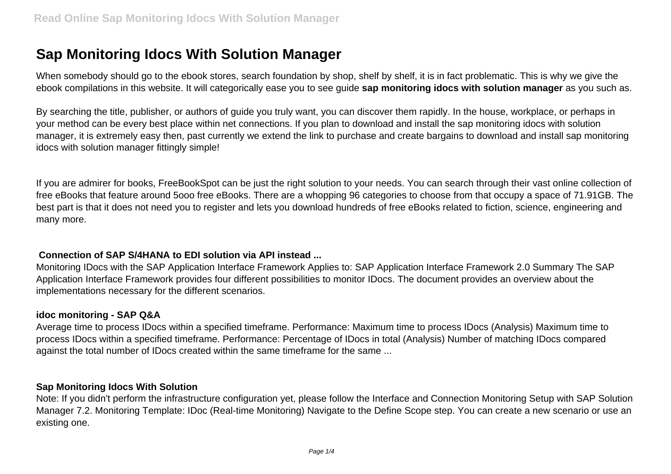# **Sap Monitoring Idocs With Solution Manager**

When somebody should go to the ebook stores, search foundation by shop, shelf by shelf, it is in fact problematic. This is why we give the ebook compilations in this website. It will categorically ease you to see guide **sap monitoring idocs with solution manager** as you such as.

By searching the title, publisher, or authors of guide you truly want, you can discover them rapidly. In the house, workplace, or perhaps in your method can be every best place within net connections. If you plan to download and install the sap monitoring idocs with solution manager, it is extremely easy then, past currently we extend the link to purchase and create bargains to download and install sap monitoring idocs with solution manager fittingly simple!

If you are admirer for books, FreeBookSpot can be just the right solution to your needs. You can search through their vast online collection of free eBooks that feature around 5ooo free eBooks. There are a whopping 96 categories to choose from that occupy a space of 71.91GB. The best part is that it does not need you to register and lets you download hundreds of free eBooks related to fiction, science, engineering and many more.

### **Connection of SAP S/4HANA to EDI solution via API instead ...**

Monitoring IDocs with the SAP Application Interface Framework Applies to: SAP Application Interface Framework 2.0 Summary The SAP Application Interface Framework provides four different possibilities to monitor IDocs. The document provides an overview about the implementations necessary for the different scenarios.

#### **idoc monitoring - SAP Q&A**

Average time to process IDocs within a specified timeframe. Performance: Maximum time to process IDocs (Analysis) Maximum time to process IDocs within a specified timeframe. Performance: Percentage of IDocs in total (Analysis) Number of matching IDocs compared against the total number of IDocs created within the same timeframe for the same ...

### **Sap Monitoring Idocs With Solution**

Note: If you didn't perform the infrastructure configuration yet, please follow the Interface and Connection Monitoring Setup with SAP Solution Manager 7.2. Monitoring Template: IDoc (Real-time Monitoring) Navigate to the Define Scope step. You can create a new scenario or use an existing one.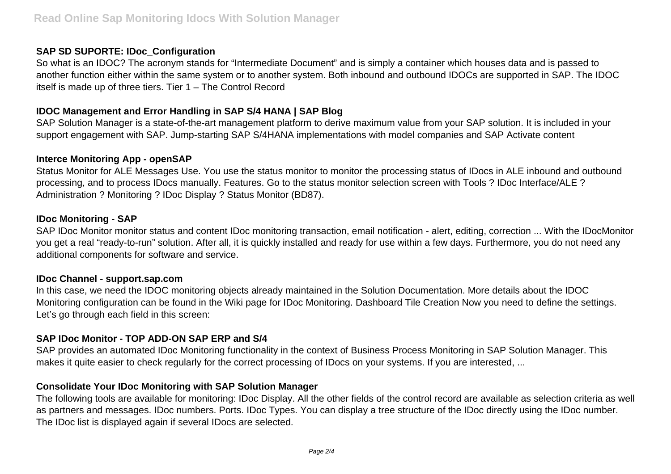# **SAP SD SUPORTE: IDoc\_Configuration**

So what is an IDOC? The acronym stands for "Intermediate Document" and is simply a container which houses data and is passed to another function either within the same system or to another system. Both inbound and outbound IDOCs are supported in SAP. The IDOC itself is made up of three tiers. Tier 1 – The Control Record

# **IDOC Management and Error Handling in SAP S/4 HANA | SAP Blog**

SAP Solution Manager is a state-of-the-art management platform to derive maximum value from your SAP solution. It is included in your support engagement with SAP. Jump-starting SAP S/4HANA implementations with model companies and SAP Activate content

## **Interce Monitoring App - openSAP**

Status Monitor for ALE Messages Use. You use the status monitor to monitor the processing status of IDocs in ALE inbound and outbound processing, and to process IDocs manually. Features. Go to the status monitor selection screen with Tools ? IDoc Interface/ALE ? Administration ? Monitoring ? IDoc Display ? Status Monitor (BD87).

## **IDoc Monitoring - SAP**

SAP IDoc Monitor monitor status and content IDoc monitoring transaction, email notification - alert, editing, correction ... With the IDocMonitor you get a real "ready-to-run" solution. After all, it is quickly installed and ready for use within a few days. Furthermore, you do not need any additional components for software and service.

### **IDoc Channel - support.sap.com**

In this case, we need the IDOC monitoring objects already maintained in the Solution Documentation. More details about the IDOC Monitoring configuration can be found in the Wiki page for IDoc Monitoring. Dashboard Tile Creation Now you need to define the settings. Let's go through each field in this screen:

## **SAP IDoc Monitor - TOP ADD-ON SAP ERP and S/4**

SAP provides an automated IDoc Monitoring functionality in the context of Business Process Monitoring in SAP Solution Manager. This makes it quite easier to check regularly for the correct processing of IDocs on your systems. If you are interested, ...

## **Consolidate Your IDoc Monitoring with SAP Solution Manager**

The following tools are available for monitoring: IDoc Display. All the other fields of the control record are available as selection criteria as well as partners and messages. IDoc numbers. Ports. IDoc Types. You can display a tree structure of the IDoc directly using the IDoc number. The IDoc list is displayed again if several IDocs are selected.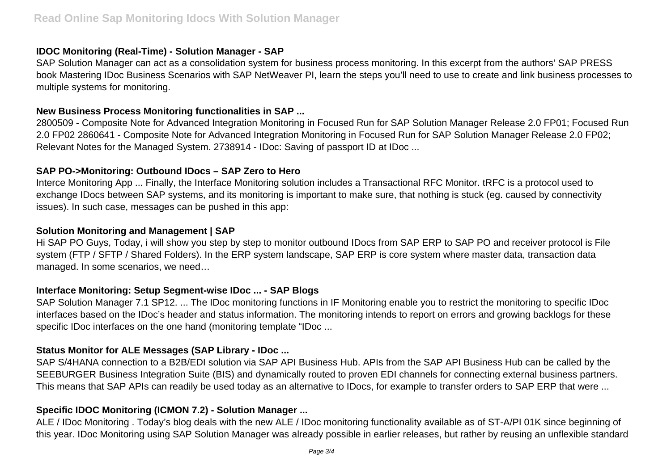# **IDOC Monitoring (Real-Time) - Solution Manager - SAP**

SAP Solution Manager can act as a consolidation system for business process monitoring. In this excerpt from the authors' SAP PRESS book Mastering IDoc Business Scenarios with SAP NetWeaver PI, learn the steps you'll need to use to create and link business processes to multiple systems for monitoring.

# **New Business Process Monitoring functionalities in SAP ...**

2800509 - Composite Note for Advanced Integration Monitoring in Focused Run for SAP Solution Manager Release 2.0 FP01; Focused Run 2.0 FP02 2860641 - Composite Note for Advanced Integration Monitoring in Focused Run for SAP Solution Manager Release 2.0 FP02; Relevant Notes for the Managed System. 2738914 - IDoc: Saving of passport ID at IDoc ...

# **SAP PO->Monitoring: Outbound IDocs – SAP Zero to Hero**

Interce Monitoring App ... Finally, the Interface Monitoring solution includes a Transactional RFC Monitor. tRFC is a protocol used to exchange IDocs between SAP systems, and its monitoring is important to make sure, that nothing is stuck (eg. caused by connectivity issues). In such case, messages can be pushed in this app:

# **Solution Monitoring and Management | SAP**

Hi SAP PO Guys, Today, i will show you step by step to monitor outbound IDocs from SAP ERP to SAP PO and receiver protocol is File system (FTP / SFTP / Shared Folders). In the ERP system landscape, SAP ERP is core system where master data, transaction data managed. In some scenarios, we need…

# **Interface Monitoring: Setup Segment-wise IDoc ... - SAP Blogs**

SAP Solution Manager 7.1 SP12. ... The IDoc monitoring functions in IF Monitoring enable you to restrict the monitoring to specific IDoc interfaces based on the IDoc's header and status information. The monitoring intends to report on errors and growing backlogs for these specific IDoc interfaces on the one hand (monitoring template "IDoc ...

# **Status Monitor for ALE Messages (SAP Library - IDoc ...**

SAP S/4HANA connection to a B2B/EDI solution via SAP API Business Hub. APIs from the SAP API Business Hub can be called by the SEEBURGER Business Integration Suite (BIS) and dynamically routed to proven EDI channels for connecting external business partners. This means that SAP APIs can readily be used today as an alternative to IDocs, for example to transfer orders to SAP ERP that were ...

# **Specific IDOC Monitoring (ICMON 7.2) - Solution Manager ...**

ALE / IDoc Monitoring . Today's blog deals with the new ALE / IDoc monitoring functionality available as of ST-A/PI 01K since beginning of this year. IDoc Monitoring using SAP Solution Manager was already possible in earlier releases, but rather by reusing an unflexible standard